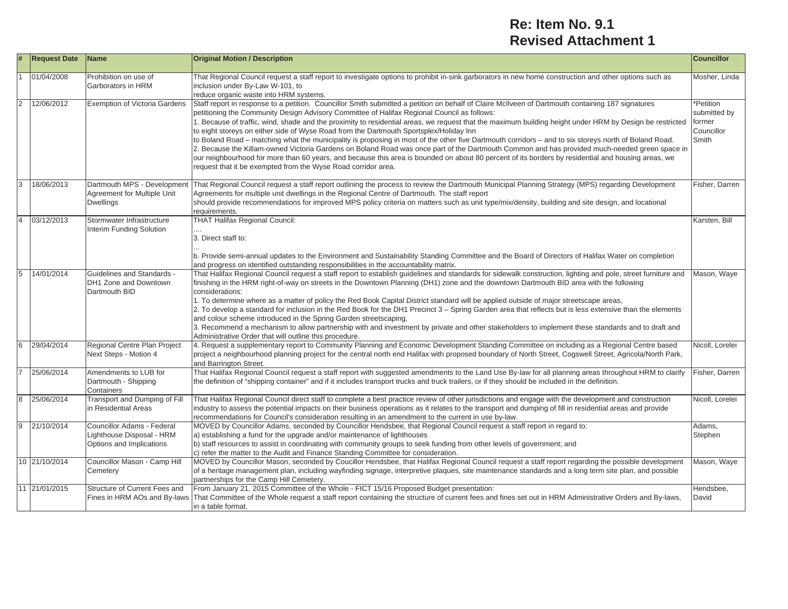## **Re: Item No. 9.1 Revised Attachment 1**

| #              | <b>Request Date</b> | <b>Name</b>                                                                         | <b>Original Motion / Description</b>                                                                                                                                                                                                                                                                                                                                                                                                                                                                                                                                                                                                                                                                                                                                                                                                                                                                                                                                                                                                    | <b>Councillor</b>                                         |
|----------------|---------------------|-------------------------------------------------------------------------------------|-----------------------------------------------------------------------------------------------------------------------------------------------------------------------------------------------------------------------------------------------------------------------------------------------------------------------------------------------------------------------------------------------------------------------------------------------------------------------------------------------------------------------------------------------------------------------------------------------------------------------------------------------------------------------------------------------------------------------------------------------------------------------------------------------------------------------------------------------------------------------------------------------------------------------------------------------------------------------------------------------------------------------------------------|-----------------------------------------------------------|
|                | 01/04/2008          | Prohibition on use of<br>Garborators in HRM                                         | That Regional Council request a staff report to investigate options to prohibit in-sink garborators in new home construction and other options such as<br>inclusion under By-Law W-101, to<br>reduce organic waste into HRM systems.                                                                                                                                                                                                                                                                                                                                                                                                                                                                                                                                                                                                                                                                                                                                                                                                    | Mosher, Linda                                             |
| 2              | 12/06/2012          | <b>Exemption of Victoria Gardens</b>                                                | Staff report in response to a petition. Councillor Smith submitted a petition on behalf of Claire McIlveen of Dartmouth containing 187 signatures<br>petitioning the Community Design Advisory Committee of Halifax Regional Council as follows:<br>1. Because of traffic, wind, shade and the proximity to residential areas, we request that the maximum building height under HRM by Design be restricted<br>to eight storeys on either side of Wyse Road from the Dartmouth Sportsplex/Holiday Inn<br>to Boland Road – matching what the municipality is proposing in most of the other five Dartmouth corridors – and to six storeys north of Boland Road.<br>2. Because the Killam-owned Victoria Gardens on Boland Road was once part of the Dartmouth Common and has provided much-needed green space in<br>our neighbourhood for more than 60 years, and because this area is bounded on about 80 percent of its borders by residential and housing areas, we<br>request that it be exempted from the Wyse Road corridor area. | Petition<br>submitted by<br>former<br>Councillor<br>Smith |
| 3              | 18/06/2013          | Dartmouth MPS - Development<br>Agreement for Multiple Unit<br><b>Dwellings</b>      | That Regional Council request a staff report outlining the process to review the Dartmouth Municipal Planning Strategy (MPS) regarding Development<br>Agreements for multiple unit dwellings in the Regional Centre of Dartmouth. The staff report<br>should provide recommendations for improved MPS policy criteria on matters such as unit type/mix/density, building and site design, and locational<br>requirements.                                                                                                                                                                                                                                                                                                                                                                                                                                                                                                                                                                                                               | Fisher, Darren                                            |
| $\overline{4}$ | 03/12/2013          | Stormwater Infrastructure<br>Interim Funding Solution                               | <b>THAT Halifax Regional Council:</b><br>3. Direct staff to:<br>b. Provide semi-annual updates to the Environment and Sustainability Standing Committee and the Board of Directors of Halifax Water on completion<br>and progress on identified outstanding responsibilities in the accountability matrix.                                                                                                                                                                                                                                                                                                                                                                                                                                                                                                                                                                                                                                                                                                                              | Karsten, Bill                                             |
| 5              | 14/01/2014          | <b>Guidelines and Standards -</b><br>DH1 Zone and Downtown<br>Dartmouth BID         | That Halifax Regional Council request a staff report to establish guidelines and standards for sidewalk construction, lighting and pole, street furniture and<br>finishing in the HRM right-of-way on streets in the Downtown Planning (DH1) zone and the downtown Dartmouth BID area with the following<br>considerations:<br>1. To determine where as a matter of policy the Red Book Capital District standard will be applied outside of major streetscape areas,<br>2. To develop a standard for inclusion in the Red Book for the DH1 Precinct 3 - Spring Garden area that reflects but is less extensive than the elements<br>and colour scheme introduced in the Spring Garden streetscaping,<br>3. Recommend a mechanism to allow partnership with and investment by private and other stakeholders to implement these standards and to draft and<br>Administrative Order that will outline this procedure.                                                                                                                    | Mason, Waye                                               |
| 6              | 29/04/2014          | Regional Centre Plan Project<br>Next Steps - Motion 4                               | 4. Request a supplementary report to Community Planning and Economic Development Standing Committee on including as a Regional Centre based<br>project a neighbourhood planning project for the central north end Halifax with proposed boundary of North Street, Cogswell Street, Agricola/North Park,<br>and Barrington Street.                                                                                                                                                                                                                                                                                                                                                                                                                                                                                                                                                                                                                                                                                                       | Nicoll, Lorelei                                           |
|                | 25/06/2014          | Amendments to LUB for<br>Dartmouth - Shipping<br>Containers                         | That Halifax Regional Council request a staff report with suggested amendments to the Land Use By-law for all planning areas throughout HRM to clarify<br>the definition of "shipping container" and if it includes transport trucks and truck trailers, or if they should be included in the definition.                                                                                                                                                                                                                                                                                                                                                                                                                                                                                                                                                                                                                                                                                                                               | Fisher, Darren                                            |
| $\overline{8}$ | 25/06/2014          | Transport and Dumping of Fill<br>in Residential Areas                               | That Halifax Regional Council direct staff to complete a best practice review of other jurisdictions and engage with the development and construction<br>industry to assess the potential impacts on their business operations as it relates to the transport and dumping of fill in residential areas and provide<br>recommendations for Council's consideration resulting in an amendment to the current in use by-law.                                                                                                                                                                                                                                                                                                                                                                                                                                                                                                                                                                                                               | Nicoll, Lorelei                                           |
| 9              | 21/10/2014          | Councillor Adams - Federal<br>Lighthouse Disposal - HRM<br>Options and Implications | MOVED by Councillor Adams, seconded by Councillor Hendsbee, that Regional Council request a staff report in regard to:<br>a) establishing a fund for the upgrade and/or maintenance of lighthouses<br>b) staff resources to assist in coordinating with community groups to seek funding from other levels of government; and<br>c) refer the matter to the Audit and Finance Standing Committee for consideration.                                                                                                                                                                                                                                                                                                                                                                                                                                                                                                                                                                                                                     | Adams,<br>Stephen                                         |
|                | 10 21/10/2014       | Councillor Mason - Camp Hill<br>Cemetery                                            | MOVED by Councillor Mason, seconded by Coucillor Hendsbee, that Halifax Regional Council request a staff report regarding the possible development<br>of a heritage management plan, including wayfinding signage, interpretive plaques, site maintenance standards and a long term site plan, and possible<br>partnerships for the Camp Hill Cemetery.                                                                                                                                                                                                                                                                                                                                                                                                                                                                                                                                                                                                                                                                                 | Mason, Waye                                               |
|                | 11 21/01/2015       | Structure of Current Fees and                                                       | From January 21, 2015 Committee of the Whole - FICT 15/16 Proposed Budget presentation:<br>Fines in HRM AOs and By-laws That Committee of the Whole request a staff report containing the structure of current fees and fines set out in HRM Administrative Orders and By-laws,<br>in a table format.                                                                                                                                                                                                                                                                                                                                                                                                                                                                                                                                                                                                                                                                                                                                   | Hendsbee,<br>David                                        |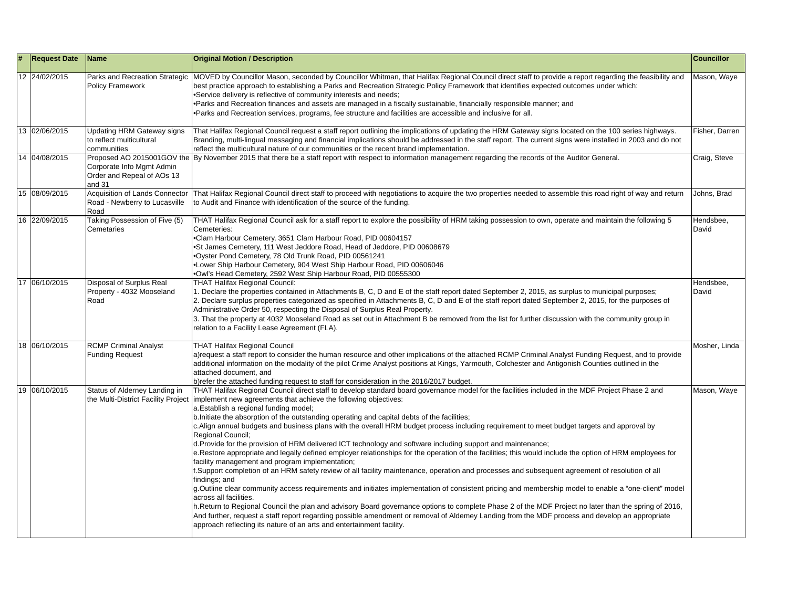| # | <b>Request Date</b> | Name                                                                    | <b>Original Motion / Description</b>                                                                                                                                                                                                                                                                                                                                                                                                                                                                                                                                                                                                                                                                                                                                                                                                                                                                                                                                                                                                                                                                                                                                                                                                                                                                                                                                                                                                                                                                                                                                                                                                                     | <b>Councillor</b>  |
|---|---------------------|-------------------------------------------------------------------------|----------------------------------------------------------------------------------------------------------------------------------------------------------------------------------------------------------------------------------------------------------------------------------------------------------------------------------------------------------------------------------------------------------------------------------------------------------------------------------------------------------------------------------------------------------------------------------------------------------------------------------------------------------------------------------------------------------------------------------------------------------------------------------------------------------------------------------------------------------------------------------------------------------------------------------------------------------------------------------------------------------------------------------------------------------------------------------------------------------------------------------------------------------------------------------------------------------------------------------------------------------------------------------------------------------------------------------------------------------------------------------------------------------------------------------------------------------------------------------------------------------------------------------------------------------------------------------------------------------------------------------------------------------|--------------------|
|   | 12 24/02/2015       | <b>Policy Framework</b>                                                 | Parks and Recreation Strategic  MOVED by Councillor Mason, seconded by Councillor Whitman, that Halifax Regional Council direct staff to provide a report regarding the feasibility and<br>best practice approach to establishing a Parks and Recreation Strategic Policy Framework that identifies expected outcomes under which:<br>•Service delivery is reflective of community interests and needs;<br>•Parks and Recreation finances and assets are managed in a fiscally sustainable, financially responsible manner; and<br>•Parks and Recreation services, programs, fee structure and facilities are accessible and inclusive for all.                                                                                                                                                                                                                                                                                                                                                                                                                                                                                                                                                                                                                                                                                                                                                                                                                                                                                                                                                                                                          | Mason, Waye        |
|   | 13 02/06/2015       | Updating HRM Gateway signs<br>to reflect multicultural<br>communities   | That Halifax Regional Council request a staff report outlining the implications of updating the HRM Gateway signs located on the 100 series highways.<br>Branding, multi-lingual messaging and financial implications should be addressed in the staff report. The current signs were installed in 2003 and do not<br>reflect the multicultural nature of our communities or the recent brand implementation.                                                                                                                                                                                                                                                                                                                                                                                                                                                                                                                                                                                                                                                                                                                                                                                                                                                                                                                                                                                                                                                                                                                                                                                                                                            | Fisher, Darren     |
|   | 14 04/08/2015       | Corporate Info Mgmt Admin<br>Order and Repeal of AOs 13<br>and 31       | Proposed AO 2015001GOV the By November 2015 that there be a staff report with respect to information management regarding the records of the Auditor General.                                                                                                                                                                                                                                                                                                                                                                                                                                                                                                                                                                                                                                                                                                                                                                                                                                                                                                                                                                                                                                                                                                                                                                                                                                                                                                                                                                                                                                                                                            | Craig, Steve       |
|   | 15 08/09/2015       | Acquisition of Lands Connector<br>Road - Newberry to Lucasville<br>Road | That Halifax Regional Council direct staff to proceed with negotiations to acquire the two properties needed to assemble this road right of way and return<br>to Audit and Finance with identification of the source of the funding.                                                                                                                                                                                                                                                                                                                                                                                                                                                                                                                                                                                                                                                                                                                                                                                                                                                                                                                                                                                                                                                                                                                                                                                                                                                                                                                                                                                                                     | Johns, Brad        |
|   | 16 22/09/2015       | Taking Possession of Five (5)<br>Cemetaries                             | THAT Halifax Regional Council ask for a staff report to explore the possibility of HRM taking possession to own, operate and maintain the following 5<br>Cemeteries:<br>•Clam Harbour Cemetery, 3651 Clam Harbour Road, PID 00604157<br>•St James Cemetery, 111 West Jeddore Road, Head of Jeddore, PID 00608679<br>.Oyster Pond Cemetery, 78 Old Trunk Road, PID 00561241<br>.Lower Ship Harbour Cemetery, 904 West Ship Harbour Road, PID 00606046<br>.Owl's Head Cemetery, 2592 West Ship Harbour Road, PID 00555300                                                                                                                                                                                                                                                                                                                                                                                                                                                                                                                                                                                                                                                                                                                                                                                                                                                                                                                                                                                                                                                                                                                                  | Hendsbee,<br>David |
|   | 17 06/10/2015       | Disposal of Surplus Real<br>Property - 4032 Mooseland<br>Road           | <b>THAT Halifax Regional Council:</b><br>1. Declare the properties contained in Attachments B, C, D and E of the staff report dated September 2, 2015, as surplus to municipal purposes;<br>2. Declare surplus properties categorized as specified in Attachments B, C, D and E of the staff report dated September 2, 2015, for the purposes of<br>Administrative Order 50, respecting the Disposal of Surplus Real Property.<br>3. That the property at 4032 Mooseland Road as set out in Attachment B be removed from the list for further discussion with the community group in<br>relation to a Facility Lease Agreement (FLA).                                                                                                                                                                                                                                                                                                                                                                                                                                                                                                                                                                                                                                                                                                                                                                                                                                                                                                                                                                                                                    | Hendsbee,<br>David |
|   | 18 06/10/2015       | <b>RCMP Criminal Analyst</b><br><b>Funding Request</b>                  | <b>THAT Halifax Regional Council</b><br>a)request a staff report to consider the human resource and other implications of the attached RCMP Criminal Analyst Funding Request, and to provide<br>additional information on the modality of the pilot Crime Analyst positions at Kings, Yarmouth, Colchester and Antigonish Counties outlined in the<br>attached document, and<br>b) refer the attached funding request to staff for consideration in the 2016/2017 budget.                                                                                                                                                                                                                                                                                                                                                                                                                                                                                                                                                                                                                                                                                                                                                                                                                                                                                                                                                                                                                                                                                                                                                                                | Mosher, Linda      |
|   | 19 06/10/2015       | Status of Alderney Landing in                                           | THAT Halifax Regional Council direct staff to develop standard board governance model for the facilities included in the MDF Project Phase 2 and<br>the Multi-District Facility Project   implement new agreements that achieve the following objectives:<br>a. Establish a regional funding model;<br>b. Initiate the absorption of the outstanding operating and capital debts of the facilities;<br>c. Align annual budgets and business plans with the overall HRM budget process including requirement to meet budget targets and approval by<br><b>Regional Council:</b><br>d. Provide for the provision of HRM delivered ICT technology and software including support and maintenance;<br>e. Restore appropriate and legally defined employer relationships for the operation of the facilities; this would include the option of HRM employees for<br>facility management and program implementation;<br>f.Support completion of an HRM safety review of all facility maintenance, operation and processes and subsequent agreement of resolution of all<br>findings; and<br>g.Outline clear community access requirements and initiates implementation of consistent pricing and membership model to enable a "one-client" model<br>across all facilities.<br>h. Return to Regional Council the plan and advisory Board governance options to complete Phase 2 of the MDF Project no later than the spring of 2016,<br>And further, request a staff report regarding possible amendment or removal of Aldemey Landing from the MDF process and develop an appropriate<br>approach reflecting its nature of an arts and entertainment facility. | Mason, Waye        |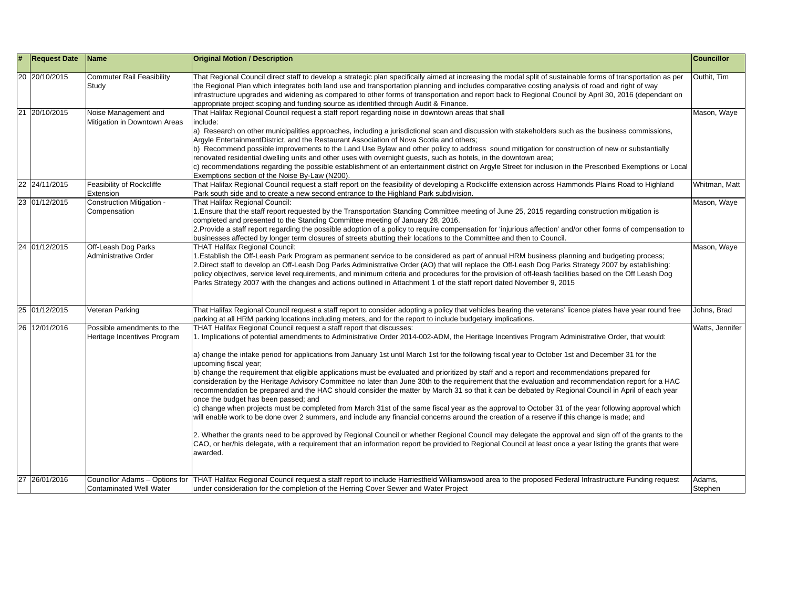| #  | <b>Request Date</b> | Name                                                      | <b>Original Motion / Description</b>                                                                                                                                                                                                                                                                                                                                                                                                                                                                                                                                                                                                                                                                                                                                                                                                                                                                                                                                                                                                                                                                                                                                                                                                                                                                                                                                                                                                                                                                                                                 | <b>Councillor</b> |
|----|---------------------|-----------------------------------------------------------|------------------------------------------------------------------------------------------------------------------------------------------------------------------------------------------------------------------------------------------------------------------------------------------------------------------------------------------------------------------------------------------------------------------------------------------------------------------------------------------------------------------------------------------------------------------------------------------------------------------------------------------------------------------------------------------------------------------------------------------------------------------------------------------------------------------------------------------------------------------------------------------------------------------------------------------------------------------------------------------------------------------------------------------------------------------------------------------------------------------------------------------------------------------------------------------------------------------------------------------------------------------------------------------------------------------------------------------------------------------------------------------------------------------------------------------------------------------------------------------------------------------------------------------------------|-------------------|
|    | 20 20/10/2015       | <b>Commuter Rail Feasibility</b><br>Study                 | That Regional Council direct staff to develop a strategic plan specifically aimed at increasing the modal split of sustainable forms of transportation as per<br>the Regional Plan which integrates both land use and transportation planning and includes comparative costing analysis of road and right of way<br>infrastructure upgrades and widening as compared to other forms of transportation and report back to Regional Council by April 30, 2016 (dependant on<br>appropriate project scoping and funding source as identified through Audit & Finance.                                                                                                                                                                                                                                                                                                                                                                                                                                                                                                                                                                                                                                                                                                                                                                                                                                                                                                                                                                                   | Outhit, Tim       |
| 21 | 20/10/2015          | Noise Management and<br>Mitigation in Downtown Areas      | That Halifax Regional Council request a staff report regarding noise in downtown areas that shall<br>include:<br>a) Research on other municipalities approaches, including a jurisdictional scan and discussion with stakeholders such as the business commissions,<br>Argyle EntertainmentDistrict, and the Restaurant Association of Nova Scotia and others;<br>b) Recommend possible improvements to the Land Use Bylaw and other policy to address sound mitigation for construction of new or substantially<br>renovated residential dwelling units and other uses with overnight guests, such as hotels, in the downtown area;<br>c) recommendations regarding the possible establishment of an entertainment district on Argyle Street for inclusion in the Prescribed Exemptions or Local<br>Exemptions section of the Noise By-Law (N200).                                                                                                                                                                                                                                                                                                                                                                                                                                                                                                                                                                                                                                                                                                  | Mason, Waye       |
|    | 22 24/11/2015       | Feasibility of Rockcliffe<br>Extension                    | That Halifax Regional Council request a staff report on the feasibility of developing a Rockcliffe extension across Hammonds Plains Road to Highland<br>Park south side and to create a new second entrance to the Highland Park subdivision.                                                                                                                                                                                                                                                                                                                                                                                                                                                                                                                                                                                                                                                                                                                                                                                                                                                                                                                                                                                                                                                                                                                                                                                                                                                                                                        | Whitman, Matt     |
|    | 23 01/12/2015       | Construction Mitigation -<br>Compensation                 | That Halifax Regional Council:<br>1. Ensure that the staff report requested by the Transportation Standing Committee meeting of June 25, 2015 regarding construction mitigation is<br>completed and presented to the Standing Committee meeting of January 28, 2016.<br>2. Provide a staff report regarding the possible adoption of a policy to require compensation for 'injurious affection' and/or other forms of compensation to<br>businesses affected by longer term closures of streets abutting their locations to the Committee and then to Council.                                                                                                                                                                                                                                                                                                                                                                                                                                                                                                                                                                                                                                                                                                                                                                                                                                                                                                                                                                                       | Mason, Waye       |
| 24 | 01/12/2015          | Off-Leash Dog Parks<br><b>Administrative Order</b>        | <b>THAT Halifax Regional Council:</b><br>1. Establish the Off-Leash Park Program as permanent service to be considered as part of annual HRM business planning and budgeting process;<br>2. Direct staff to develop an Off-Leash Dog Parks Administrative Order (AO) that will replace the Off-Leash Dog Parks Strategy 2007 by establishing:<br>policy objectives, service level requirements, and minimum criteria and procedures for the provision of off-leash facilities based on the Off Leash Dog<br>Parks Strategy 2007 with the changes and actions outlined in Attachment 1 of the staff report dated November 9, 2015                                                                                                                                                                                                                                                                                                                                                                                                                                                                                                                                                                                                                                                                                                                                                                                                                                                                                                                     | Mason, Waye       |
|    | 25 01/12/2015       | Veteran Parking                                           | That Halifax Regional Council request a staff report to consider adopting a policy that vehicles bearing the veterans' licence plates have year round free<br>parking at all HRM parking locations including meters, and for the report to include budgetary implications.                                                                                                                                                                                                                                                                                                                                                                                                                                                                                                                                                                                                                                                                                                                                                                                                                                                                                                                                                                                                                                                                                                                                                                                                                                                                           | Johns, Brad       |
|    | 26 12/01/2016       | Possible amendments to the<br>Heritage Incentives Program | THAT Halifax Regional Council request a staff report that discusses:<br>1. Implications of potential amendments to Administrative Order 2014-002-ADM, the Heritage Incentives Program Administrative Order, that would:<br>a) change the intake period for applications from January 1st until March 1st for the following fiscal year to October 1st and December 31 for the<br>upcoming fiscal year;<br>b) change the requirement that eligible applications must be evaluated and prioritized by staff and a report and recommendations prepared for<br>consideration by the Heritage Advisory Committee no later than June 30th to the requirement that the evaluation and recommendation report for a HAC<br>recommendation be prepared and the HAC should consider the matter by March 31 so that it can be debated by Regional Council in April of each year<br>once the budget has been passed; and<br>c) change when projects must be completed from March 31st of the same fiscal year as the approval to October 31 of the year following approval which<br>will enable work to be done over 2 summers, and include any financial concerns around the creation of a reserve if this change is made; and<br>2. Whether the grants need to be approved by Regional Council or whether Regional Council may delegate the approval and sign off of the grants to the<br>CAO, or her/his delegate, with a requirement that an information report be provided to Regional Council at least once a year listing the grants that were<br>awarded. | Watts, Jennifer   |
| 27 | 26/01/2016          | <b>Contaminated Well Water</b>                            | Councillor Adams - Options for THAT Halifax Regional Council request a staff report to include Harriestfield Williamswood area to the proposed Federal Infrastructure Funding request<br>under consideration for the completion of the Herring Cover Sewer and Water Project                                                                                                                                                                                                                                                                                                                                                                                                                                                                                                                                                                                                                                                                                                                                                                                                                                                                                                                                                                                                                                                                                                                                                                                                                                                                         | Adams,<br>Stephen |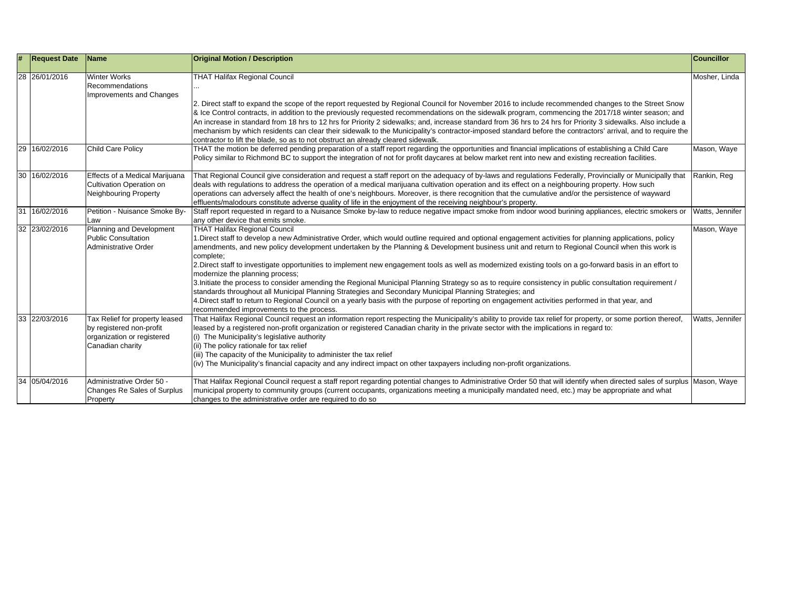| # | <b>Request Date</b> | Name                                                                                                         | <b>Original Motion / Description</b>                                                                                                                                                                                                                                                                                                                                                                                                                                                                                                                                                                                                                                                                                                                                                                                                                                                                                                                                                                                                    | <b>Councillor</b> |
|---|---------------------|--------------------------------------------------------------------------------------------------------------|-----------------------------------------------------------------------------------------------------------------------------------------------------------------------------------------------------------------------------------------------------------------------------------------------------------------------------------------------------------------------------------------------------------------------------------------------------------------------------------------------------------------------------------------------------------------------------------------------------------------------------------------------------------------------------------------------------------------------------------------------------------------------------------------------------------------------------------------------------------------------------------------------------------------------------------------------------------------------------------------------------------------------------------------|-------------------|
|   | 28 26/01/2016       | <b>Winter Works</b><br>Recommendations<br>Improvements and Changes                                           | <b>THAT Halifax Regional Council</b><br>2. Direct staff to expand the scope of the report requested by Regional Council for November 2016 to include recommended changes to the Street Snow<br>& Ice Control contracts, in addition to the previously requested recommendations on the sidewalk program, commencing the 2017/18 winter season; and<br>An increase in standard from 18 hrs to 12 hrs for Priority 2 sidewalks; and, increase standard from 36 hrs to 24 hrs for Priority 3 sidewalks. Also include a<br>mechanism by which residents can clear their sidewalk to the Municipality's contractor-imposed standard before the contractors' arrival, and to require the<br>contractor to lift the blade, so as to not obstruct an already cleared sidewalk.                                                                                                                                                                                                                                                                  | Mosher, Linda     |
|   | 29 16/02/2016       | <b>Child Care Policy</b>                                                                                     | THAT the motion be deferred pending preparation of a staff report regarding the opportunities and financial implications of establishing a Child Care<br>Policy similar to Richmond BC to support the integration of not for profit daycares at below market rent into new and existing recreation facilities.                                                                                                                                                                                                                                                                                                                                                                                                                                                                                                                                                                                                                                                                                                                          | Mason, Waye       |
|   | 30 16/02/2016       | Effects of a Medical Marijuana<br>Cultivation Operation on<br><b>Neighbouring Property</b>                   | That Regional Council give consideration and request a staff report on the adequacy of by-laws and regulations Federally, Provincially or Municipally that<br>deals with regulations to address the operation of a medical marijuana cultivation operation and its effect on a neighbouring property. How such<br>operations can adversely affect the health of one's neighbours. Moreover, is there recognition that the cumulative and/or the persistence of wayward<br>effluents/malodours constitute adverse quality of life in the enjoyment of the receiving neighbour's property.                                                                                                                                                                                                                                                                                                                                                                                                                                                | Rankin, Reg       |
|   | 31 16/02/2016       | Petition - Nuisance Smoke By-<br>Law                                                                         | Staff report requested in regard to a Nuisance Smoke by-law to reduce negative impact smoke from indoor wood burining appliances, electric smokers or<br>any other device that emits smoke.                                                                                                                                                                                                                                                                                                                                                                                                                                                                                                                                                                                                                                                                                                                                                                                                                                             | Watts, Jennifer   |
|   | 32 23/02/2016       | Planning and Development<br><b>Public Consultation</b><br>Administrative Order                               | <b>THAT Halifax Regional Council</b><br>1. Direct staff to develop a new Administrative Order, which would outline required and optional engagement activities for planning applications, policy<br>amendments, and new policy development undertaken by the Planning & Development business unit and return to Regional Council when this work is<br>complete;<br>2. Direct staff to investigate opportunities to implement new engagement tools as well as modernized existing tools on a go-forward basis in an effort to<br>modernize the planning process;<br>3. Initiate the process to consider amending the Regional Municipal Planning Strategy so as to require consistency in public consultation requirement /<br>standards throughout all Municipal Planning Strategies and Secondary Municipal Planning Strategies; and<br>4. Direct staff to return to Regional Council on a yearly basis with the purpose of reporting on engagement activities performed in that year, and<br>recommended improvements to the process. | Mason, Waye       |
|   | 33 22/03/2016       | Tax Relief for property leased<br>by registered non-profit<br>organization or registered<br>Canadian charity | That Halifax Regional Council request an information report respecting the Municipality's ability to provide tax relief for property, or some portion thereof,<br>leased by a registered non-profit organization or registered Canadian charity in the private sector with the implications in regard to:<br>(i) The Municipality's legislative authority<br>(ii) The policy rationale for tax relief<br>(iii) The capacity of the Municipality to administer the tax relief<br>(iv) The Municipality's financial capacity and any indirect impact on other taxpayers including non-profit organizations.                                                                                                                                                                                                                                                                                                                                                                                                                               | Watts, Jennifer   |
|   | 34 05/04/2016       | Administrative Order 50 -<br>Changes Re Sales of Surplus<br>Property                                         | That Halifax Regional Council request a staff report regarding potential changes to Administrative Order 50 that will identify when directed sales of surplus Mason, Waye<br>municipal property to community groups (current occupants, organizations meeting a municipally mandated need, etc.) may be appropriate and what<br>changes to the administrative order are required to do so                                                                                                                                                                                                                                                                                                                                                                                                                                                                                                                                                                                                                                               |                   |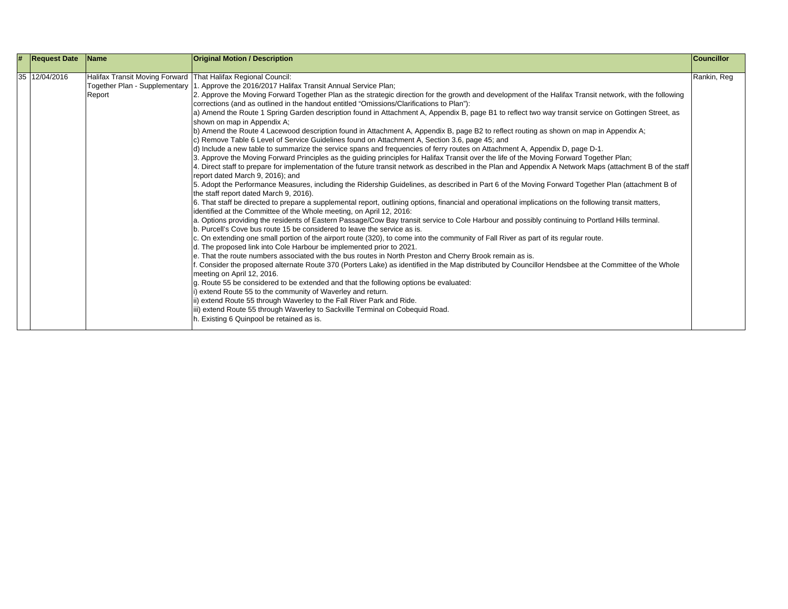| # | <b>Request Date</b> | <b>Name</b> | <b>Original Motion / Description</b>                                                                                                                                                                                                                                                                                                                                                                                                                                                                                                                                                                                                                                                                                                                                                                                                                                                                                                                                                                                                                                                                                                                                                                                                                                                                                                                                                                                                                                                                                                                                                                                                                                                                                                                                                                                                                                                                                                                                                                                                                                                                                                                                                                                                                                                                                                                                                                                                                                                                                                                                                                                                                                                                                                                                                                                                          | <b>Councillor</b> |
|---|---------------------|-------------|-----------------------------------------------------------------------------------------------------------------------------------------------------------------------------------------------------------------------------------------------------------------------------------------------------------------------------------------------------------------------------------------------------------------------------------------------------------------------------------------------------------------------------------------------------------------------------------------------------------------------------------------------------------------------------------------------------------------------------------------------------------------------------------------------------------------------------------------------------------------------------------------------------------------------------------------------------------------------------------------------------------------------------------------------------------------------------------------------------------------------------------------------------------------------------------------------------------------------------------------------------------------------------------------------------------------------------------------------------------------------------------------------------------------------------------------------------------------------------------------------------------------------------------------------------------------------------------------------------------------------------------------------------------------------------------------------------------------------------------------------------------------------------------------------------------------------------------------------------------------------------------------------------------------------------------------------------------------------------------------------------------------------------------------------------------------------------------------------------------------------------------------------------------------------------------------------------------------------------------------------------------------------------------------------------------------------------------------------------------------------------------------------------------------------------------------------------------------------------------------------------------------------------------------------------------------------------------------------------------------------------------------------------------------------------------------------------------------------------------------------------------------------------------------------------------------------------------------------|-------------------|
|   |                     |             |                                                                                                                                                                                                                                                                                                                                                                                                                                                                                                                                                                                                                                                                                                                                                                                                                                                                                                                                                                                                                                                                                                                                                                                                                                                                                                                                                                                                                                                                                                                                                                                                                                                                                                                                                                                                                                                                                                                                                                                                                                                                                                                                                                                                                                                                                                                                                                                                                                                                                                                                                                                                                                                                                                                                                                                                                                               |                   |
|   | 35 12/04/2016       | Report      | Halifax Transit Moving Forward   That Halifax Regional Council:<br>Together Plan - Supplementary 1. Approve the 2016/2017 Halifax Transit Annual Service Plan;<br>2. Approve the Moving Forward Together Plan as the strategic direction for the growth and development of the Halifax Transit network, with the following<br>corrections (and as outlined in the handout entitled "Omissions/Clarifications to Plan"):<br>a) Amend the Route 1 Spring Garden description found in Attachment A, Appendix B, page B1 to reflect two way transit service on Gottingen Street, as<br>shown on map in Appendix A;<br>b) Amend the Route 4 Lacewood description found in Attachment A, Appendix B, page B2 to reflect routing as shown on map in Appendix A;<br>c) Remove Table 6 Level of Service Guidelines found on Attachment A, Section 3.6, page 45; and<br>d) Include a new table to summarize the service spans and frequencies of ferry routes on Attachment A, Appendix D, page D-1.<br>3. Approve the Moving Forward Principles as the guiding principles for Halifax Transit over the life of the Moving Forward Together Plan;<br>4. Direct staff to prepare for implementation of the future transit network as described in the Plan and Appendix A Network Maps (attachment B of the staff<br>report dated March 9, 2016); and<br>5. Adopt the Performance Measures, including the Ridership Guidelines, as described in Part 6 of the Moving Forward Together Plan (attachment B of<br>the staff report dated March 9, 2016).<br>6. That staff be directed to prepare a supplemental report, outlining options, financial and operational implications on the following transit matters,<br>identified at the Committee of the Whole meeting, on April 12, 2016:<br>a. Options providing the residents of Eastern Passage/Cow Bay transit service to Cole Harbour and possibly continuing to Portland Hills terminal.<br>b. Purcell's Cove bus route 15 be considered to leave the service as is.<br>c. On extending one small portion of the airport route (320), to come into the community of Fall River as part of its regular route.<br>d. The proposed link into Cole Harbour be implemented prior to 2021.<br>e. That the route numbers associated with the bus routes in North Preston and Cherry Brook remain as is.<br>Consider the proposed alternate Route 370 (Porters Lake) as identified in the Map distributed by Councillor Hendsbee at the Committee of the Whole<br>meeting on April 12, 2016.<br>g. Route 55 be considered to be extended and that the following options be evaluated:<br>extend Route 55 to the community of Waverley and return.<br>ii) extend Route 55 through Waverley to the Fall River Park and Ride.<br>iii) extend Route 55 through Waverley to Sackville Terminal on Cobequid Road. | Rankin, Reg       |
|   |                     |             | h. Existing 6 Quinpool be retained as is.                                                                                                                                                                                                                                                                                                                                                                                                                                                                                                                                                                                                                                                                                                                                                                                                                                                                                                                                                                                                                                                                                                                                                                                                                                                                                                                                                                                                                                                                                                                                                                                                                                                                                                                                                                                                                                                                                                                                                                                                                                                                                                                                                                                                                                                                                                                                                                                                                                                                                                                                                                                                                                                                                                                                                                                                     |                   |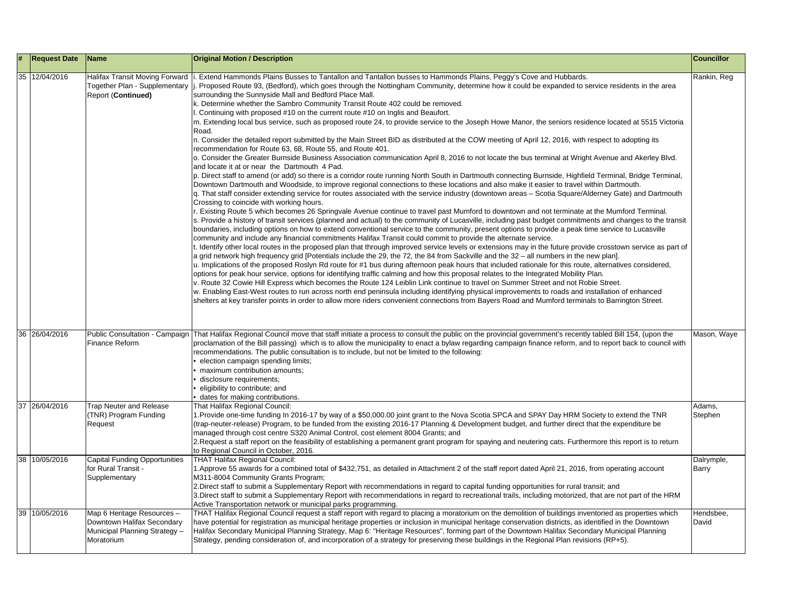| # | <b>Request Date</b> | <b>Name</b>                                                                                             | <b>Original Motion / Description</b>                                                                                                                                                                                                                                                                                                                                                                                                                                                                                                                                                                                                                                                                                                                                                                                                                                                                                                                                                                                                                                                                                                                                                                                                                                                                                                                                                                                                                                                                                                                                                                                                                                                                                                                                                                                                                                                                                                                                                                                                                                                                                                                                                                                                                                                                                                                                                                                                                                                                                                                                                                                                                                                                                                                                                                                                                                                                                                                                                                                                                                                                                                                                                                                                                           | <b>Councillor</b>   |
|---|---------------------|---------------------------------------------------------------------------------------------------------|----------------------------------------------------------------------------------------------------------------------------------------------------------------------------------------------------------------------------------------------------------------------------------------------------------------------------------------------------------------------------------------------------------------------------------------------------------------------------------------------------------------------------------------------------------------------------------------------------------------------------------------------------------------------------------------------------------------------------------------------------------------------------------------------------------------------------------------------------------------------------------------------------------------------------------------------------------------------------------------------------------------------------------------------------------------------------------------------------------------------------------------------------------------------------------------------------------------------------------------------------------------------------------------------------------------------------------------------------------------------------------------------------------------------------------------------------------------------------------------------------------------------------------------------------------------------------------------------------------------------------------------------------------------------------------------------------------------------------------------------------------------------------------------------------------------------------------------------------------------------------------------------------------------------------------------------------------------------------------------------------------------------------------------------------------------------------------------------------------------------------------------------------------------------------------------------------------------------------------------------------------------------------------------------------------------------------------------------------------------------------------------------------------------------------------------------------------------------------------------------------------------------------------------------------------------------------------------------------------------------------------------------------------------------------------------------------------------------------------------------------------------------------------------------------------------------------------------------------------------------------------------------------------------------------------------------------------------------------------------------------------------------------------------------------------------------------------------------------------------------------------------------------------------------------------------------------------------------------------------------------------------|---------------------|
|   | 35 12/04/2016       | Halifax Transit Moving Forward<br>Together Plan - Supplementary<br><b>Report (Continued)</b>            | . Extend Hammonds Plains Busses to Tantallon and Tantallon busses to Hammonds Plains, Peggy's Cove and Hubbards.<br>Proposed Route 93, (Bedford), which goes through the Nottingham Community, determine how it could be expanded to service residents in the area<br>surrounding the Sunnyside Mall and Bedford Place Mall.<br>k. Determine whether the Sambro Community Transit Route 402 could be removed.<br>Continuing with proposed #10 on the current route #10 on Inglis and Beaufort.<br>m. Extending local bus service, such as proposed route 24, to provide service to the Joseph Howe Manor, the seniors residence located at 5515 Victoria<br>Road.<br>n. Consider the detailed report submitted by the Main Street BID as distributed at the COW meeting of April 12, 2016, with respect to adopting its<br>recommendation for Route 63, 68, Route 55, and Route 401.<br>o. Consider the Greater Burnside Business Association communication April 8, 2016 to not locate the bus terminal at Wright Avenue and Akerley Blvd.<br>and locate it at or near the Dartmouth 4 Pad.<br>p. Direct staff to amend (or add) so there is a corridor route running North South in Dartmouth connecting Burnside, Highfield Terminal, Bridge Terminal,<br>Downtown Dartmouth and Woodside, to improve regional connections to these locations and also make it easier to travel within Dartmouth.<br>q. That staff consider extending service for routes associated with the service industry (downtown areas – Scotia Square/Alderney Gate) and Dartmouth<br>Crossing to coincide with working hours.<br>r. Existing Route 5 which becomes 26 Springvale Avenue continue to travel past Mumford to downtown and not terminate at the Mumford Terminal.<br>s. Provide a history of transit services (planned and actual) to the community of Lucasville, including past budget commitments and changes to the transit<br>boundaries, including options on how to extend conventional service to the community, present options to provide a peak time service to Lucasville<br>community and include any financial commitments Halifax Transit could commit to provide the alternate service.<br>t. Identify other local routes in the proposed plan that through improved service levels or extensions may in the future provide crosstown service as part of<br>a grid network high frequency grid [Potentials include the 29, the 72, the 84 from Sackville and the 32 – all numbers in the new plan].<br>u. Implications of the proposed Roslyn Rd route for #1 bus during afternoon peak hours that included rationale for this route, alternatives considered,<br>options for peak hour service, options for identifying traffic calming and how this proposal relates to the Integrated Mobility Plan.<br>v. Route 32 Cowie Hill Express which becomes the Route 124 Leiblin Link continue to travel on Summer Street and not Robie Street.<br>w. Enabling East-West routes to run across north end peninsula including identifying physical improvements to roads and installation of enhanced<br>shelters at key transfer points in order to allow more riders convenient connections from Bayers Road and Mumford terminals to Barrington Street. | Rankin, Reg         |
|   | 36 26/04/2016       | Public Consultation - Campaign<br>Finance Reform                                                        | That Halifax Regional Council move that staff initiate a process to consult the public on the provincial government's recently tabled Bill 154, (upon the<br>proclamation of the Bill passing) which is to allow the municipality to enact a bylaw regarding campaign finance reform, and to report back to council with<br>recommendations. The public consultation is to include, but not be limited to the following:<br>election campaign spending limits;<br>maximum contribution amounts;<br>disclosure requirements;<br>eligibility to contribute; and<br>dates for making contributions.                                                                                                                                                                                                                                                                                                                                                                                                                                                                                                                                                                                                                                                                                                                                                                                                                                                                                                                                                                                                                                                                                                                                                                                                                                                                                                                                                                                                                                                                                                                                                                                                                                                                                                                                                                                                                                                                                                                                                                                                                                                                                                                                                                                                                                                                                                                                                                                                                                                                                                                                                                                                                                                               | Mason, Waye         |
|   | 37<br>26/04/2016    | <b>Trap Neuter and Release</b><br>(TNR) Program Funding<br>Request                                      | That Halifax Regional Council:<br>1. Provide one-time funding In 2016-17 by way of a \$50,000.00 joint grant to the Nova Scotia SPCA and SPAY Day HRM Society to extend the TNR<br>(trap-neuter-release) Program, to be funded from the existing 2016-17 Planning & Development budget, and further direct that the expenditure be<br>managed through cost centre S320 Animal Control, cost element 8004 Grants; and<br>2. Request a staff report on the feasibility of establishing a permanent grant program for spaying and neutering cats. Furthermore this report is to return<br>to Regional Council in October, 2016.                                                                                                                                                                                                                                                                                                                                                                                                                                                                                                                                                                                                                                                                                                                                                                                                                                                                                                                                                                                                                                                                                                                                                                                                                                                                                                                                                                                                                                                                                                                                                                                                                                                                                                                                                                                                                                                                                                                                                                                                                                                                                                                                                                                                                                                                                                                                                                                                                                                                                                                                                                                                                                   | Adams,<br>Stephen   |
|   | 38<br>10/05/2016    | <b>Capital Funding Opportunities</b><br>for Rural Transit -<br>Supplementary                            | <b>THAT Halifax Regional Council:</b><br>1. Approve 55 awards for a combined total of \$432,751, as detailed in Attachment 2 of the staff report dated April 21, 2016, from operating account<br>M311-8004 Community Grants Program;<br>2.Direct staff to submit a Supplementary Report with recommendations in regard to capital funding opportunities for rural transit; and<br>3. Direct staff to submit a Supplementary Report with recommendations in regard to recreational trails, including motorized, that are not part of the HRM<br>Active Transportation network or municipal parks programming.                                                                                                                                                                                                                                                                                                                                                                                                                                                                                                                                                                                                                                                                                                                                                                                                                                                                                                                                                                                                                                                                                                                                                                                                                                                                                                                                                                                                                                                                                                                                                                                                                                                                                                                                                                                                                                                                                                                                                                                                                                                                                                                                                                                                                                                                                                                                                                                                                                                                                                                                                                                                                                                   | Dalrymple,<br>Barry |
|   | 39 10/05/2016       | Map 6 Heritage Resources -<br>Downtown Halifax Secondary<br>Municipal Planning Strategy -<br>Moratorium | THAT Halifax Regional Council request a staff report with regard to placing a moratorium on the demolition of buildings inventoried as properties which<br>have potential for registration as municipal heritage properties or inclusion in municipal heritage conservation districts, as identified in the Downtown<br>Halifax Secondary Municipal Planning Strategy, Map 6: "Heritage Resources", forming part of the Downtown Halifax Secondary Municipal Planning<br>Strategy, pending consideration of, and incorporation of a strategy for preserving these buildings in the Regional Plan revisions (RP+5).                                                                                                                                                                                                                                                                                                                                                                                                                                                                                                                                                                                                                                                                                                                                                                                                                                                                                                                                                                                                                                                                                                                                                                                                                                                                                                                                                                                                                                                                                                                                                                                                                                                                                                                                                                                                                                                                                                                                                                                                                                                                                                                                                                                                                                                                                                                                                                                                                                                                                                                                                                                                                                             | Hendsbee,<br>David  |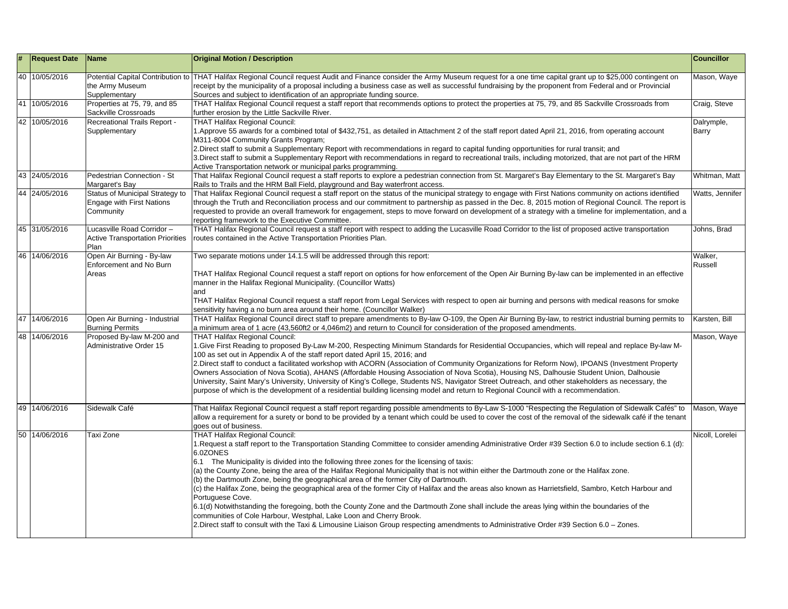| # | <b>Request Date</b> | Name                                                                             | <b>Original Motion / Description</b>                                                                                                                                                                                                                                                                                                                                                                                                                                                                                                                                                                                                                                                                                                                                                                                                                                                                                                                                                                                                                                                             | <b>Councillor</b>   |
|---|---------------------|----------------------------------------------------------------------------------|--------------------------------------------------------------------------------------------------------------------------------------------------------------------------------------------------------------------------------------------------------------------------------------------------------------------------------------------------------------------------------------------------------------------------------------------------------------------------------------------------------------------------------------------------------------------------------------------------------------------------------------------------------------------------------------------------------------------------------------------------------------------------------------------------------------------------------------------------------------------------------------------------------------------------------------------------------------------------------------------------------------------------------------------------------------------------------------------------|---------------------|
|   | 40 10/05/2016       | the Army Museum<br>Supplementary                                                 | Potential Capital Contribution to THAT Halifax Regional Council request Audit and Finance consider the Army Museum request for a one time capital grant up to \$25,000 contingent on<br>receipt by the municipality of a proposal including a business case as well as successful fundraising by the proponent from Federal and or Provincial<br>Sources and subject to identification of an appropriate funding source.                                                                                                                                                                                                                                                                                                                                                                                                                                                                                                                                                                                                                                                                         | Mason, Waye         |
|   | 41 10/05/2016       | Properties at 75, 79, and 85<br>Sackville Crossroads                             | THAT Halifax Regional Council request a staff report that recommends options to protect the properties at 75, 79, and 85 Sackville Crossroads from<br>further erosion by the Little Sackville River.                                                                                                                                                                                                                                                                                                                                                                                                                                                                                                                                                                                                                                                                                                                                                                                                                                                                                             | Craig, Steve        |
|   | 42 10/05/2016       | Recreational Trails Report -<br>Supplementary                                    | <b>THAT Halifax Regional Council:</b><br>1. Approve 55 awards for a combined total of \$432,751, as detailed in Attachment 2 of the staff report dated April 21, 2016, from operating account<br>M311-8004 Community Grants Program;<br>2. Direct staff to submit a Supplementary Report with recommendations in regard to capital funding opportunities for rural transit; and<br>3. Direct staff to submit a Supplementary Report with recommendations in regard to recreational trails, including motorized, that are not part of the HRM<br>Active Transportation network or municipal parks programming.                                                                                                                                                                                                                                                                                                                                                                                                                                                                                    | Dalrymple,<br>Barry |
|   | 43 24/05/2016       | Pedestrian Connection - St<br>Margaret's Bay                                     | That Halifax Regional Council request a staff reports to explore a pedestrian connection from St. Margaret's Bay Elementary to the St. Margaret's Bay<br>Rails to Trails and the HRM Ball Field, playground and Bay waterfront access.                                                                                                                                                                                                                                                                                                                                                                                                                                                                                                                                                                                                                                                                                                                                                                                                                                                           | Whitman, Matt       |
|   | 44 24/05/2016       | Status of Municipal Strategy to<br><b>Engage with First Nations</b><br>Community | That Halifax Regional Council request a staff report on the status of the municipal strategy to engage with First Nations community on actions identified<br>through the Truth and Reconciliation process and our commitment to partnership as passed in the Dec. 8, 2015 motion of Regional Council. The report is<br>requested to provide an overall framework for engagement, steps to move forward on development of a strategy with a timeline for implementation, and a<br>reporting framework to the Executive Committee.                                                                                                                                                                                                                                                                                                                                                                                                                                                                                                                                                                 | Watts, Jennifer     |
|   | 45 31/05/2016       | Lucasville Road Corridor-<br><b>Active Transportation Priorities</b><br>Plan     | THAT Halifax Regional Council request a staff report with respect to adding the Lucasville Road Corridor to the list of proposed active transportation<br>routes contained in the Active Transportation Priorities Plan.                                                                                                                                                                                                                                                                                                                                                                                                                                                                                                                                                                                                                                                                                                                                                                                                                                                                         | Johns, Brad         |
|   | 46 14/06/2016       | Open Air Burning - By-law<br>Enforcement and No Burn<br>Areas                    | Two separate motions under 14.1.5 will be addressed through this report:<br>THAT Halifax Regional Council request a staff report on options for how enforcement of the Open Air Burning By-law can be implemented in an effective<br>manner in the Halifax Regional Municipality. (Councillor Watts)<br>and<br>THAT Halifax Regional Council request a staff report from Legal Services with respect to open air burning and persons with medical reasons for smoke<br>sensitivity having a no burn area around their home. (Councillor Walker)                                                                                                                                                                                                                                                                                                                                                                                                                                                                                                                                                  | Walker,<br>Russell  |
|   | 47 14/06/2016       | Open Air Burning - Industrial<br><b>Burning Permits</b>                          | THAT Halifax Regional Council direct staff to prepare amendments to By-law O-109, the Open Air Burning By-law, to restrict industrial burning permits to<br>a minimum area of 1 acre (43,560ft2 or 4,046m2) and return to Council for consideration of the proposed amendments.                                                                                                                                                                                                                                                                                                                                                                                                                                                                                                                                                                                                                                                                                                                                                                                                                  | Karsten, Bill       |
|   | 48 14/06/2016       | Proposed By-law M-200 and<br>Administrative Order 15                             | <b>THAT Halifax Regional Council:</b><br>I.Give First Reading to proposed By-Law M-200, Respecting Minimum Standards for Residential Occupancies, which will repeal and replace By-law M-<br>100 as set out in Appendix A of the staff report dated April 15, 2016; and<br>2. Direct staff to conduct a facilitated workshop with ACORN (Association of Community Organizations for Reform Now), IPOANS (Investment Property<br>Owners Association of Nova Scotia), AHANS (Affordable Housing Association of Nova Scotia), Housing NS, Dalhousie Student Union, Dalhousie<br>University, Saint Mary's University, University of King's College, Students NS, Navigator Street Outreach, and other stakeholders as necessary, the<br>purpose of which is the development of a residential building licensing model and return to Regional Council with a recommendation.                                                                                                                                                                                                                          | Mason, Waye         |
|   | 49 14/06/2016       | Sidewalk Café                                                                    | That Halifax Regional Council request a staff report regarding possible amendments to By-Law S-1000 "Respecting the Regulation of Sidewalk Cafés" to<br>allow a requirement for a surety or bond to be provided by a tenant which could be used to cover the cost of the removal of the sidewalk café if the tenant<br>goes out of business.                                                                                                                                                                                                                                                                                                                                                                                                                                                                                                                                                                                                                                                                                                                                                     | Mason, Waye         |
|   | 50 14/06/2016       | Taxi Zone                                                                        | <b>THAT Halifax Regional Council:</b><br>1. Request a staff report to the Transportation Standing Committee to consider amending Administrative Order #39 Section 6.0 to include section 6.1 (d):<br>6.0ZONES<br>6.1 The Municipality is divided into the following three zones for the licensing of taxis:<br>(a) the County Zone, being the area of the Halifax Regional Municipality that is not within either the Dartmouth zone or the Halifax zone.<br>(b) the Dartmouth Zone, being the geographical area of the former City of Dartmouth.<br>(c) the Halifax Zone, being the geographical area of the former City of Halifax and the areas also known as Harrietsfield, Sambro, Ketch Harbour and<br>Portuguese Cove.<br>6.1(d) Notwithstanding the foregoing, both the County Zone and the Dartmouth Zone shall include the areas lying within the boundaries of the<br>communities of Cole Harbour, Westphal, Lake Loon and Cherry Brook.<br>2. Direct staff to consult with the Taxi & Limousine Liaison Group respecting amendments to Administrative Order #39 Section 6.0 - Zones. | Nicoll, Lorelei     |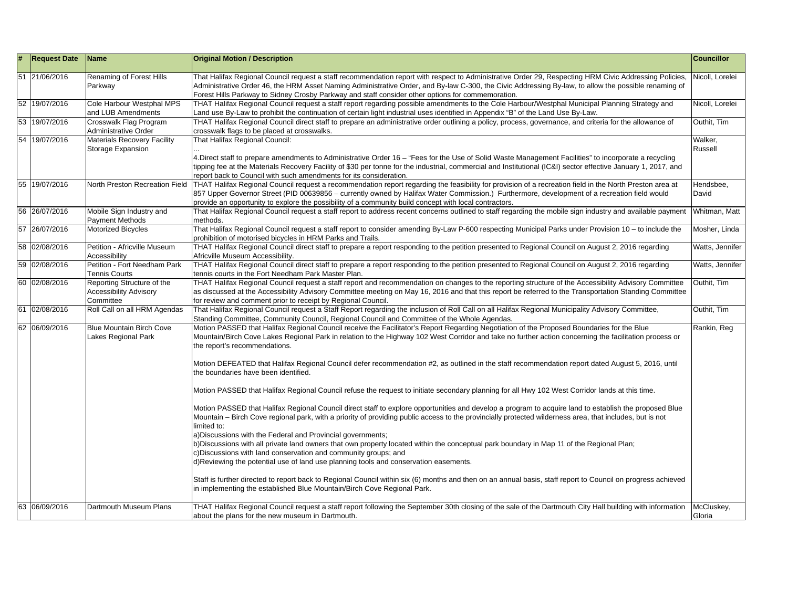| # | <b>Request Date</b> | <b>Name</b>                                                              | <b>Original Motion / Description</b>                                                                                                                                                                                                                                                                                                                                                                                | <b>Councillor</b>    |
|---|---------------------|--------------------------------------------------------------------------|---------------------------------------------------------------------------------------------------------------------------------------------------------------------------------------------------------------------------------------------------------------------------------------------------------------------------------------------------------------------------------------------------------------------|----------------------|
|   | 51 21/06/2016       | Renaming of Forest Hills<br>Parkway                                      | That Halifax Regional Council request a staff recommendation report with respect to Administrative Order 29, Respecting HRM Civic Addressing Policies,<br>Administrative Order 46, the HRM Asset Naming Administrative Order, and By-law C-300, the Civic Addressing By-law, to allow the possible renaming of<br>Forest Hills Parkway to Sidney Crosby Parkway and staff consider other options for commemoration. | Nicoll, Lorelei      |
|   | 52 19/07/2016       | Cole Harbour Westphal MPS<br>and LUB Amendments                          | THAT Halifax Regional Council request a staff report regarding possible amendments to the Cole Harbour/Westphal Municipal Planning Strategy and<br>Land use By-Law to prohibit the continuation of certain light industrial uses identified in Appendix "B" of the Land Use By-Law.                                                                                                                                 | Nicoll, Lorelei      |
|   | 53 19/07/2016       | Crosswalk Flag Program<br>Administrative Order                           | THAT Halifax Regional Council direct staff to prepare an administrative order outlining a policy, process, governance, and criteria for the allowance of<br>crosswalk flags to be placed at crosswalks.                                                                                                                                                                                                             | Outhit, Tim          |
|   | 54 19/07/2016       | <b>Materials Recovery Facility</b><br>Storage Expansion                  | That Halifax Regional Council:                                                                                                                                                                                                                                                                                                                                                                                      | Walker,<br>Russell   |
|   |                     |                                                                          | 4. Direct staff to prepare amendments to Administrative Order 16 - "Fees for the Use of Solid Waste Management Facilities" to incorporate a recycling<br>tipping fee at the Materials Recovery Facility of \$30 per tonne for the industrial, commercial and Institutional (IC&I) sector effective January 1, 2017, and<br>report back to Council with such amendments for its consideration.                       |                      |
|   | 55 19/07/2016       | North Preston Recreation Field                                           | THAT Halifax Regional Council request a recommendation report regarding the feasibility for provision of a recreation field in the North Preston area at<br>857 Upper Governor Street (PID 00639856 - currently owned by Halifax Water Commission.) Furthermore, development of a recreation field would<br>provide an opportunity to explore the possibility of a community build concept with local contractors.  | Hendsbee,<br>David   |
|   | 56 26/07/2016       | Mobile Sign Industry and<br><b>Payment Methods</b>                       | That Halifax Regional Council request a staff report to address recent concerns outlined to staff regarding the mobile sign industry and available payment<br>methods.                                                                                                                                                                                                                                              | Whitman, Matt        |
|   | 57 26/07/2016       | Motorized Bicycles                                                       | That Halifax Regional Council request a staff report to consider amending By-Law P-600 respecting Municipal Parks under Provision 10 - to include the<br>prohibition of motorised bicycles in HRM Parks and Trails.                                                                                                                                                                                                 | Mosher, Linda        |
|   | 58 02/08/2016       | Petition - Africville Museum<br>Accessibility                            | THAT Halifax Regional Council direct staff to prepare a report responding to the petition presented to Regional Council on August 2, 2016 regarding<br>Africville Museum Accessibility.                                                                                                                                                                                                                             | Watts, Jennifer      |
|   | 59 02/08/2016       | Petition - Fort Needham Park<br><b>Tennis Courts</b>                     | THAT Halifax Regional Council direct staff to prepare a report responding to the petition presented to Regional Council on August 2, 2016 regarding<br>tennis courts in the Fort Needham Park Master Plan.                                                                                                                                                                                                          | Watts, Jennifer      |
|   | 60 02/08/2016       | Reporting Structure of the<br><b>Accessibility Advisory</b><br>Committee | THAT Halifax Regional Council request a staff report and recommendation on changes to the reporting structure of the Accessibility Advisory Committee<br>as discussed at the Accessibility Advisory Committee meeting on May 16, 2016 and that this report be referred to the Transportation Standing Committee<br>for review and comment prior to receipt by Regional Council.                                     | Outhit, Tim          |
|   | 61 02/08/2016       | Roll Call on all HRM Agendas                                             | That Halifax Regional Council request a Staff Report regarding the inclusion of Roll Call on all Halifax Regional Municipality Advisory Committee,<br>Standing Committee, Community Council, Regional Council and Committee of the Whole Agendas.                                                                                                                                                                   | Outhit, Tim          |
|   | 62 06/09/2016       | <b>Blue Mountain Birch Cove</b><br>Lakes Regional Park                   | Motion PASSED that Halifax Regional Council receive the Facilitator's Report Regarding Negotiation of the Proposed Boundaries for the Blue<br>Mountain/Birch Cove Lakes Regional Park in relation to the Highway 102 West Corridor and take no further action concerning the facilitation process or<br>the report's recommendations.                                                                               | Rankin, Reg          |
|   |                     |                                                                          | Motion DEFEATED that Halifax Regional Council defer recommendation #2, as outlined in the staff recommendation report dated August 5, 2016, until<br>the boundaries have been identified.                                                                                                                                                                                                                           |                      |
|   |                     |                                                                          | Motion PASSED that Halifax Regional Council refuse the request to initiate secondary planning for all Hwy 102 West Corridor lands at this time.                                                                                                                                                                                                                                                                     |                      |
|   |                     |                                                                          | Motion PASSED that Halifax Regional Council direct staff to explore opportunities and develop a program to acquire land to establish the proposed Blue<br>Mountain – Birch Cove regional park, with a priority of providing public access to the provincially protected wilderness area, that includes, but is not<br>limited to:                                                                                   |                      |
|   |                     |                                                                          | a) Discussions with the Federal and Provincial governments;<br>b)Discussions with all private land owners that own property located within the conceptual park boundary in Map 11 of the Regional Plan;<br>c) Discussions with land conservation and community groups; and<br>d)Reviewing the potential use of land use planning tools and conservation easements.                                                  |                      |
|   |                     |                                                                          | Staff is further directed to report back to Regional Council within six (6) months and then on an annual basis, staff report to Council on progress achieved<br>in implementing the established Blue Mountain/Birch Cove Regional Park.                                                                                                                                                                             |                      |
|   | 63 06/09/2016       | Dartmouth Museum Plans                                                   | THAT Halifax Regional Council request a staff report following the September 30th closing of the sale of the Dartmouth City Hall building with information<br>about the plans for the new museum in Dartmouth.                                                                                                                                                                                                      | McCluskey,<br>Gloria |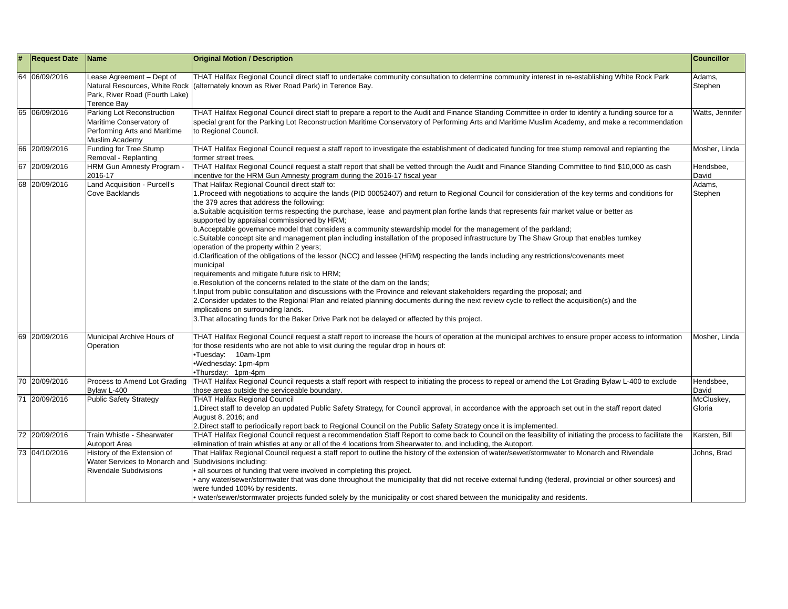| # | <b>Request Date</b> | <b>Name</b>                                                                                              | <b>Original Motion / Description</b>                                                                                                                                                                                                                                                                                                                                                                                                                                                                                                                                                                                                                                                                                                                                                                                                                                                                                                                                                                                                                                                                                                                                                                                                                                                                                                                                                                                                                                   | <b>Councillor</b>    |
|---|---------------------|----------------------------------------------------------------------------------------------------------|------------------------------------------------------------------------------------------------------------------------------------------------------------------------------------------------------------------------------------------------------------------------------------------------------------------------------------------------------------------------------------------------------------------------------------------------------------------------------------------------------------------------------------------------------------------------------------------------------------------------------------------------------------------------------------------------------------------------------------------------------------------------------------------------------------------------------------------------------------------------------------------------------------------------------------------------------------------------------------------------------------------------------------------------------------------------------------------------------------------------------------------------------------------------------------------------------------------------------------------------------------------------------------------------------------------------------------------------------------------------------------------------------------------------------------------------------------------------|----------------------|
|   | 64 06/09/2016       | Lease Agreement - Dept of<br>Park, River Road (Fourth Lake)<br><b>Terence Bay</b>                        | THAT Halifax Regional Council direct staff to undertake community consultation to determine community interest in re-establishing White Rock Park<br>Natural Resources, White Rock ((alternately known as River Road Park) in Terence Bay.                                                                                                                                                                                                                                                                                                                                                                                                                                                                                                                                                                                                                                                                                                                                                                                                                                                                                                                                                                                                                                                                                                                                                                                                                             | Adams,<br>Stephen    |
|   | 65 06/09/2016       | Parking Lot Reconstruction<br>Maritime Conservatory of<br>Performing Arts and Maritime<br>Muslim Academy | THAT Halifax Regional Council direct staff to prepare a report to the Audit and Finance Standing Committee in order to identify a funding source for a<br>special grant for the Parking Lot Reconstruction Maritime Conservatory of Performing Arts and Maritime Muslim Academy, and make a recommendation<br>to Regional Council.                                                                                                                                                                                                                                                                                                                                                                                                                                                                                                                                                                                                                                                                                                                                                                                                                                                                                                                                                                                                                                                                                                                                     | Watts, Jennifer      |
|   | 66 20/09/2016       | Funding for Tree Stump<br>Removal - Replanting                                                           | THAT Halifax Regional Council request a staff report to investigate the establishment of dedicated funding for tree stump removal and replanting the<br>former street trees.                                                                                                                                                                                                                                                                                                                                                                                                                                                                                                                                                                                                                                                                                                                                                                                                                                                                                                                                                                                                                                                                                                                                                                                                                                                                                           | Mosher, Linda        |
|   | 67 20/09/2016       | <b>HRM Gun Amnesty Program -</b><br>2016-17                                                              | THAT Halifax Regional Council request a staff report that shall be vetted through the Audit and Finance Standing Committee to find \$10,000 as cash<br>incentive for the HRM Gun Amnesty program during the 2016-17 fiscal year                                                                                                                                                                                                                                                                                                                                                                                                                                                                                                                                                                                                                                                                                                                                                                                                                                                                                                                                                                                                                                                                                                                                                                                                                                        | Hendsbee,<br>David   |
|   | 68 20/09/2016       | Land Acquisition - Purcell's<br>Cove Backlands                                                           | That Halifax Regional Council direct staff to:<br>1. Proceed with negotiations to acquire the lands (PID 00052407) and return to Regional Council for consideration of the key terms and conditions for<br>the 379 acres that address the following:<br>a. Suitable acquisition terms respecting the purchase, lease and payment plan forthe lands that represents fair market value or better as<br>supported by appraisal commissioned by HRM;<br>b. Acceptable governance model that considers a community stewardship model for the management of the parkland;<br>c. Suitable concept site and management plan including installation of the proposed infrastructure by The Shaw Group that enables turnkey<br>operation of the property within 2 years;<br>d.Clarification of the obligations of the lessor (NCC) and lessee (HRM) respecting the lands including any restrictions/covenants meet<br>municipal<br>requirements and mitigate future risk to HRM;<br>e. Resolution of the concerns related to the state of the dam on the lands;<br>f. Input from public consultation and discussions with the Province and relevant stakeholders regarding the proposal; and<br>2. Consider updates to the Regional Plan and related planning documents during the next review cycle to reflect the acquisition(s) and the<br>implications on surrounding lands.<br>3. That allocating funds for the Baker Drive Park not be delayed or affected by this project. | Adams,<br>Stephen    |
|   | 69 20/09/2016       | Municipal Archive Hours of<br>Operation                                                                  | THAT Halifax Regional Council request a staff report to increase the hours of operation at the municipal archives to ensure proper access to information<br>for those residents who are not able to visit during the regular drop in hours of:<br>•Tuesday: 10am-1pm<br>.Wednesday: 1pm-4pm<br>•Thursday: 1pm-4pm                                                                                                                                                                                                                                                                                                                                                                                                                                                                                                                                                                                                                                                                                                                                                                                                                                                                                                                                                                                                                                                                                                                                                      | Mosher, Linda        |
|   | 70 20/09/2016       | Process to Amend Lot Grading<br>Bylaw L-400                                                              | THAT Halifax Regional Council requests a staff report with respect to initiating the process to repeal or amend the Lot Grading Bylaw L-400 to exclude<br>those areas outside the serviceable boundary.                                                                                                                                                                                                                                                                                                                                                                                                                                                                                                                                                                                                                                                                                                                                                                                                                                                                                                                                                                                                                                                                                                                                                                                                                                                                | Hendsbee,<br>David   |
|   | 71 20/09/2016       | <b>Public Safety Strategy</b>                                                                            | <b>THAT Halifax Regional Council</b><br>1. Direct staff to develop an updated Public Safety Strategy, for Council approval, in accordance with the approach set out in the staff report dated<br>August 8, 2016; and<br>2. Direct staff to periodically report back to Regional Council on the Public Safety Strategy once it is implemented.                                                                                                                                                                                                                                                                                                                                                                                                                                                                                                                                                                                                                                                                                                                                                                                                                                                                                                                                                                                                                                                                                                                          | McCluskey,<br>Gloria |
|   | 72 20/09/2016       | Train Whistle - Shearwater<br>Autoport Area                                                              | THAT Halifax Regional Council request a recommendation Staff Report to come back to Council on the feasibility of initiating the process to facilitate the<br>elimination of train whistles at any or all of the 4 locations from Shearwater to, and including, the Autoport.                                                                                                                                                                                                                                                                                                                                                                                                                                                                                                                                                                                                                                                                                                                                                                                                                                                                                                                                                                                                                                                                                                                                                                                          | Karsten, Bill        |
|   | 73 04/10/2016       | History of the Extension of<br>Water Services to Monarch and<br><b>Rivendale Subdivisions</b>            | That Halifax Regional Council request a staff report to outline the history of the extension of water/sewer/stormwater to Monarch and Rivendale<br>Subdivisions including:<br>• all sources of funding that were involved in completing this project.<br>• any water/sewer/stormwater that was done throughout the municipality that did not receive external funding (federal, provincial or other sources) and<br>were funded 100% by residents.<br>• water/sewer/stormwater projects funded solely by the municipality or cost shared between the municipality and residents.                                                                                                                                                                                                                                                                                                                                                                                                                                                                                                                                                                                                                                                                                                                                                                                                                                                                                       | Johns, Brad          |